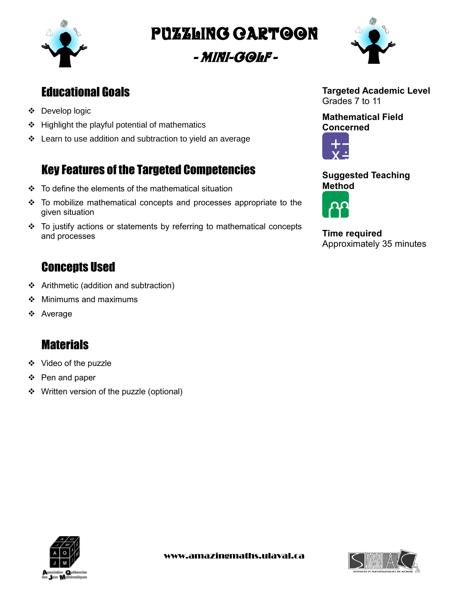

Puzzling cartoon

- Mini-golf -



## Educational Goals

- Develop logic
- $\div$  Highlight the playful potential of mathematics
- Learn to use addition and subtraction to yield an average

# Key Features of the Targeted Competencies

- $\div$  To define the elements of the mathematical situation
- To mobilize mathematical concepts and processes appropriate to the given situation
- $\div$  To justify actions or statements by referring to mathematical concepts and processes

## **Concepts Used**

- Arithmetic (addition and subtraction)
- $\div$  Minimums and maximums
- Average

### **Materials**

- ❖ Video of the puzzle
- ❖ Pen and paper
- ❖ Written version of the puzzle (optional)



**Mathematical Field Concerned**



**Suggested Teaching Method**



**Time required** Approximately 35 minutes